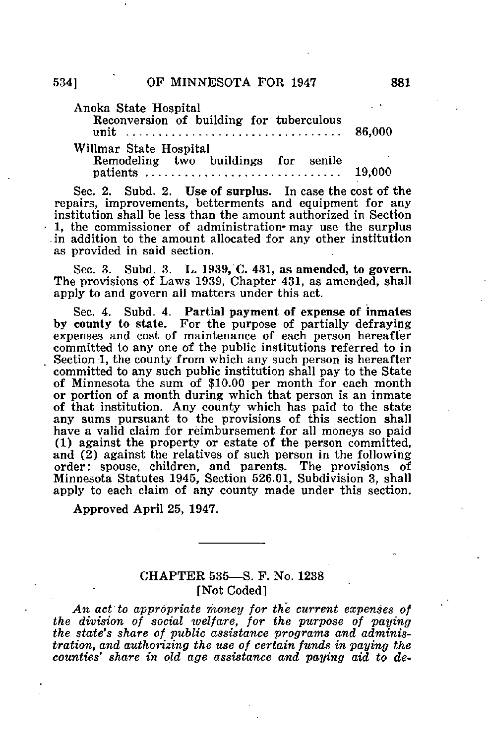Anoka State Hospital Reconversion of building for tuberculous unit ................................... 86,000

Willmar State Hospital

Remodeling two buildings for senile patients 19,000

Sec. 2. Subd. 2. Use of surplus. In case the cost of the repairs, improvements, betterments and equipment for any institution shall be less than the amount authorized in Section  $-1$ , the commissioner of administration- may use the surplus -in addition to the amount allocated for any other institution as provided in said section.

Sec. 3. Subd. 3. L, 1939, C. 431, as amended, to govern. The provisions of Laws 1939, Chapter 431, as amended, shall apply to and govern all matters under this act.

Sec. 4. Subd. 4. Partial payment of expense of inmates by county to state. For the purpose of partially defraying expenses and cost of maintenance of each person hereafter committed to any one of the public institutions referred to in Section 1, the county from which any such person is hereafter committed to any such public institution shall pay to the State of Minnesota the sum of \$10.00 per month for each month or portion of a month during which that person is an inmate of that institution. Any county which has paid to the state any sums pursuant to the provisions of this section shall have a valid claim for reimbursement for all moneys so paid (1) against the property or estate of the person committed, and (2) against the relatives of such person in the following order: spouse, children, and parents. The provisions of Minnesota Statutes 1945, Section 526.01, Subdivision 3, shall apply to each claim of any county made under this section.

Approved April 25, 1947.

## CHAPTER 535—S. F. No. 1238 [Not Coded]

An act to appropriate money for the current expenses of the division of social ivelfare, for the purpose of paying the state's share of public assistance programs and administration, and authorizing the use of certain funds in paying the counties' share in old age assistance and paying aid to de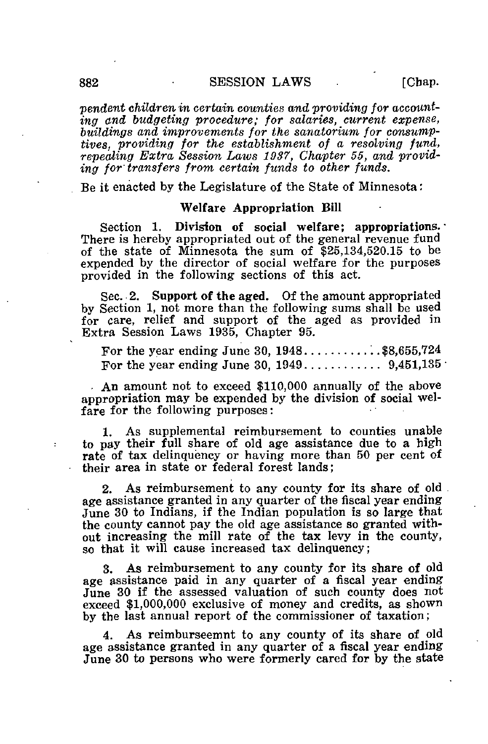$p$  nendent children in certain counties and providing for accounting and budgeting procedure; for salaries, current expense, buildings and improvements for the sanatorium for consumptives, providing for the establishment of a resolving fund, repealing Extra Session Laws 1937, Chapter 55, and providing for'transfers from certain funds to other funds.

Be it enacted by the Legislature of the State of Minnesota:

## Welfare Appropriation Bill

Section 1. Division of social welfare; appropriations. There is hereby appropriated out of the general revenue fund of the state of Minnesota the sum of \$25,134,520.15 to be expended by the director of social welfare for the purposes provided in the following sections of this act.

Sec. 2. Support of the aged. Of the amount appropriated by Section 1, not more than the following sums shall be used for care, relief and support of the aged as provided in Extra Session Laws 1935, Chapter 95.

For the year ending June 30,  $1948...$ ........\$8,655,724 For the year ending June 30,  $1949...$   $\dots$   $9,451,135$ 

. An amount not to exceed \$110,000 annually of the above appropriation may be expended by the division of social welfare for the following purposes:

1. As supplemental reimbursement to counties unable to pay their full share of old age assistance due to a high rate of tax delinquency or having more than 50 per cent of their area in state or federal forest lands;

2. As reimbursement to any county for its share of old age assistance granted in any quarter of the fiscal year ending June 30 to Indians, if the Indian population is so large that the county cannot pay the old age assistance so granted without increasing the mill rate of the tax levy in the county, so that it will cause increased tax delinquency;

3. As reimbursement to any county for its share of old age assistance paid in any quarter of a fiscal year ending June 30 if the assessed valuation of such county does not exceed \$1,000,000 exclusive of money and credits, as shown by the last annual report of the commissioner of taxation;

4. As reimburseemnt to any county of its share of old age assistance granted in any quarter of a fiscal year ending June 30 to persons who were formerly cared for by the state

 $\ddot{\phantom{0}}$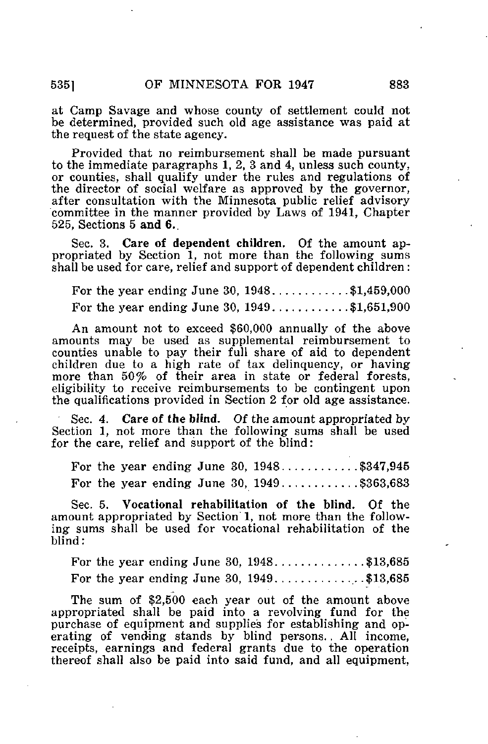at Camp Savage and whose county of settlement could not be determined, provided such old age assistance was paid at the request of the state agency.

Provided that no reimbursement shall be made pursuant to the immediate paragraphs 1, 2, 3 and 4, unless such county, or counties, shall qualify under the rules and regulations of the director of social welfare as approved by the governor, after consultation with the Minnesota public relief advisory committee in the manner provided by Laws of 1941, Chapter 525, Sections 5 and 6..

Sec. 3. Care of dependent children. Of the amount appropriated by Section 1, not more than the following sums shall be used for care, relief and support of dependent children :

For the year ending June  $30, 1948...$   $31,459,000$ For the year ending June 30,  $1949...$   $1651,651,900$ 

An amount not to exceed \$60,000 annually of the above amounts may be used as supplemental reimbursement to counties unable to pay their full share of aid to dependent children due to a high rate of tax delinquency, or having more than 50% of their area in state or federal forests, eligibility to receive reimbursements to be contingent upon the qualifications provided in Section 2 for old age assistance.

Sec. 4. Care of the blind. Of the amount appropriated by Section 1, not more than the following sums shall be used for the care, relief and support of the blind:

For the year ending June 30,  $1948...$   $347,945$ For the year ending June 30,  $1949$ ..........\$363,683

Sec. 5. Vocational rehabilitation of the blind. Of the amount appropriated by Section' 1, not more than the following sums shall be used for vocational rehabilitation of the blind:

For the year ending June 30,  $1948$ ............\$13,685 For the year ending June 30,  $1949$ .............\$13,685

The sum of \$2,500 each year out of the amount above appropriated shall be paid into a revolving fund for the purchase of equipment and supplies for establishing and operating of vending stands by blind persons.. All income, receipts, earnings and federal grants due to the operation thereof shall also be paid into said fund, and all equipment.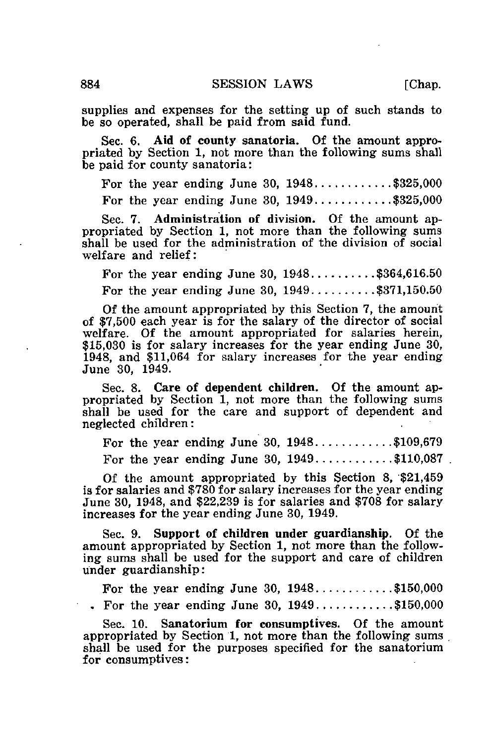supplies and expenses for the setting up of such stands to be so operated, shall be paid from said fund.

Sec. 6. Aid of county sanatoria. Of the amount appropriated by Section 1, not more than the following sums shall be paid for county sanatoria:

For the year ending June 30,  $1948...$   $\dots$   $325,000$ 

For the year ending June 30,  $1949...$   $\dots$  \$325,000

Sec. 7. Administration of division. Of the amount appropriated by Section 1, not more than the following sums shall be used for the administration of the division of social welfare and relief:

For the year ending June 30,  $1948...$   $364,616.50$ For the year ending June 30,  $1949...$   $371,150.50$ 

Of the amount appropriated by this Section 7, the amount of \$7,500 each year is for the salary of the director of social welfare. Of the amount appropriated for salaries herein, \$15,030 is for salary increases for the year ending June 30, 1948, and \$11,064 for salary increases for the year ending June 30, 1949.

Sec. 8. Care of dependent children. Of the amount appropriated by Section 1, not more than the following sums shall be used for the care and support of dependent and neglected children:

For the year ending June 30,  $1948...$   $109,679$ For the year ending June 30,  $1949...$   $\dots$  \$110,087.

Of the amount appropriated by this Section 8, \$21,459 is for salaries and \$780 for salary increases for the year ending June 30, 1948, and \$22,239 is for salaries and \$708 for salary increases for the year ending June 30, 1949.

Sec. 9. Support of children under guardianship. Of the amount appropriated by Section 1, not more than the following sums shall be used for the support and care of children under guardianship:

For the year ending June 30,  $1948$ ..........\$150,000 . For the year ending June 30,  $1949...$   $150,000$ 

Sec. 10. Sanatorium for consumptives. Of the amount appropriated by Section 1, not more than the following sums shall be used for the purposes specified for the sanatorium for consumptives: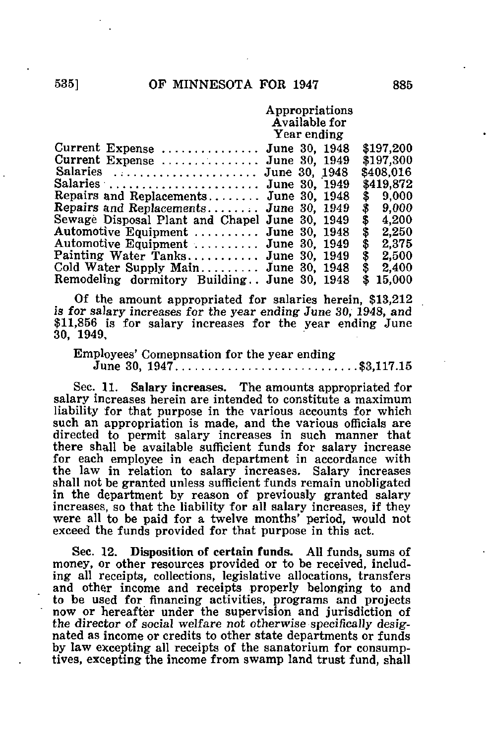## Appropriations Available for Year ending

| Current Expense  June 30, 1948                          |               | \$197,200   |
|---------------------------------------------------------|---------------|-------------|
| Current Expense $\dots \dots \dots \dots$ June 30, 1949 |               | \$197,300   |
| Salaries                                                | June 30, 1948 | \$408,016   |
| Salaries                                                | June 30, 1949 | \$419,872   |
| Repairs and Replacements June 30, 1948                  |               | \$9,000     |
| Repairs and Replacements June 30, 1949                  |               | 9.000<br>\$ |
| Sewage Disposal Plant and Chapel June 30, 1949          |               | 4,200<br>\$ |
| Automotive Equipment  June 30, 1948                     |               | 2,250<br>S  |
| Automotive Equipment                                    | June 30, 1949 | 2,375<br>\$ |
| Painting Water Tanks                                    | June 30, 1949 | 2,500<br>\$ |
| Cold Water Supply Main June 30, 1948                    |               | 2,400<br>\$ |
| Remodeling dormitory Building June 30, 1948             |               | 15,000      |

Of the amount appropriated for salaries herein, \$13,212 is for salary increases for the year ending June 30, 1948, and \$11,856 is for salary increases for the year ending June 30, 1949,

Employees' Comepnsation for the year ending June 30, 1947 \$3,117.15

Sec. 11. Salary increases. The amounts appropriated for salary increases herein are intended to constitute a maximum liability for that purpose in the various accounts for which such an appropriation is made, and the various officials are directed to permit salary increases in such manner that there shall be available sufficient funds for salary increase for each employee in each department in accordance with the law in relation to salary increases. Salary increases shall not be granted unless sufficient funds remain unobligated in the department by reason of previously granted salary increases, so that the liability for all salary increases, if they were all to be paid for a twelve months' period, would not exceed the funds provided for that purpose in this act.

Sec. 12. Disposition of certain funds. All funds, sums of money, or other resources provided or to be received, including all receipts, collections, legislative allocations, transfers and other income and receipts properly belonging to and to be used for financing activities, programs and projects now or hereafter under the supervision and jurisdiction of the director of social welfare not otherwise specifically designated as income or credits to other state departments or funds by law excepting all receipts of the sanatorium for consumptives, excepting the income from swamp land trust fund, shall